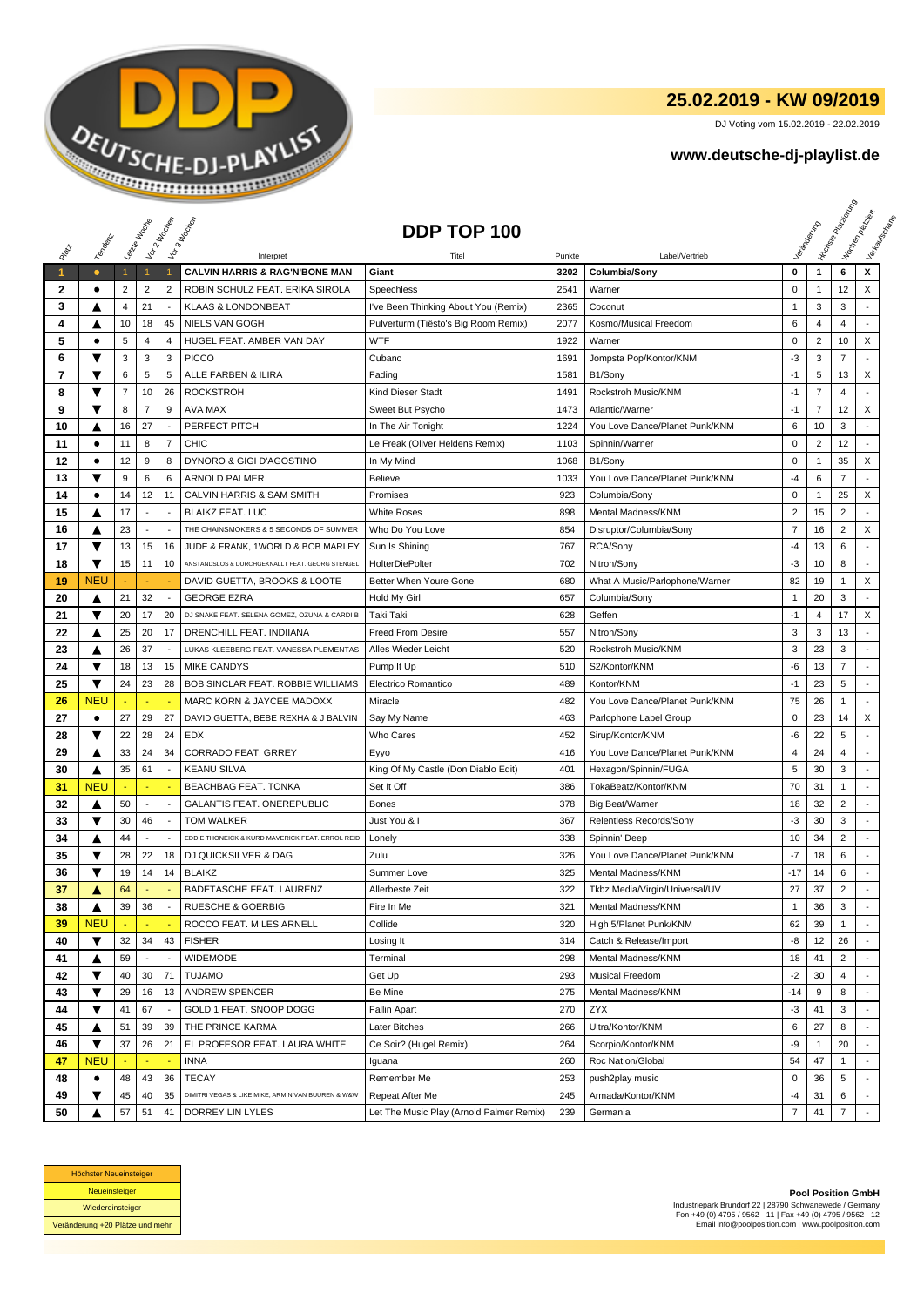

## **25.02.2019 - KW 09/2019**

DJ Voting vom 15.02.2019 - 22.02.2019

## **www.deutsche-dj-playlist.de**

|                      |            |              | Letzie Hocup             | Vor 2 Noon               | Vor 3 Incolas                                          | DDP TOP 100                              |                |                                 |                         |                | <b>Licitorial Processing Capital</b> | Workenberg<br>Verkouwerd arts |
|----------------------|------------|--------------|--------------------------|--------------------------|--------------------------------------------------------|------------------------------------------|----------------|---------------------------------|-------------------------|----------------|--------------------------------------|-------------------------------|
|                      | Temporal   |              |                          |                          |                                                        |                                          |                |                                 |                         |                |                                      |                               |
| $\blacktriangleleft$ | $\bullet$  | $\mathbf{1}$ | $\mathbf{1}$             | $\overline{1}$           | Interpret<br><b>CALVIN HARRIS &amp; RAG'N'BONE MAN</b> | Titel<br>Giant                           | Punkte<br>3202 | Label/Vertrieb<br>Columbia/Sony | 0                       | $\mathbf{1}$   | 6                                    | x                             |
| 2                    | $\bullet$  | 2            | $\overline{2}$           | $\overline{2}$           | ROBIN SCHULZ FEAT. ERIKA SIROLA                        | Speechless                               | 2541           | Warner                          | $\mathsf 0$             | 1              | 12                                   | X                             |
| 3                    | A          | 4            | 21                       |                          | <b>KLAAS &amp; LONDONBEAT</b>                          | I've Been Thinking About You (Remix)     | 2365           | Coconut                         | $\mathbf{1}$            | 3              | 3                                    |                               |
| 4                    | ▲          | 10           | 18                       | 45                       | <b>NIELS VAN GOGH</b>                                  | Pulverturm (Tiësto's Big Room Remix)     | 2077           | Kosmo/Musical Freedom           | 6                       | $\overline{4}$ | $\overline{4}$                       |                               |
| 5                    | $\bullet$  | 5            | 4                        | $\overline{4}$           | HUGEL FEAT. AMBER VAN DAY                              | WTF                                      | 1922           | Warner                          | $\pmb{0}$               | $\overline{2}$ | 10                                   | X                             |
| 6                    | ▼          | 3            | 3                        | 3                        | <b>PICCO</b>                                           | Cubano                                   | 1691           | Jompsta Pop/Kontor/KNM          | -3                      | 3              | $\overline{7}$                       |                               |
| 7                    | ▼          | 6            | 5                        | $\sqrt{5}$               | ALLE FARBEN & ILIRA                                    | Fading                                   | 1581           | B1/Sony                         | $-1$                    | 5              | 13                                   | X                             |
| 8                    | ▼          | 7            | 10                       | 26                       | <b>ROCKSTROH</b>                                       | <b>Kind Dieser Stadt</b>                 | 1491           | Rockstroh Music/KNM             | $-1$                    | $\overline{7}$ | 4                                    | $\overline{a}$                |
| 9                    | ▼          | 8            | $\overline{7}$           | 9                        | AVA MAX                                                | Sweet But Psycho                         | 1473           | Atlantic/Warner                 | $-1$                    | $\overline{7}$ | 12                                   | X                             |
| 10                   | ▲          | 16           | 27                       |                          | PERFECT PITCH                                          | In The Air Tonight                       | 1224           | You Love Dance/Planet Punk/KNM  | 6                       | 10             | 3                                    |                               |
| 11                   | ٠          | 11           | 8                        | $\overline{7}$           | <b>CHIC</b>                                            | Le Freak (Oliver Heldens Remix)          | 1103           | Spinnin/Warner                  | $\mathbf 0$             | $\overline{2}$ | 12                                   | $\sim$                        |
| 12                   | $\bullet$  | 12           | 9                        | 8                        | DYNORO & GIGI D'AGOSTINO                               | In My Mind                               | 1068           | B1/Sony                         | 0                       | $\mathbf{1}$   | 35                                   | X                             |
| 13                   | ▼          | 9            | 6                        | 6                        | <b>ARNOLD PALMER</b>                                   | <b>Believe</b>                           | 1033           | You Love Dance/Planet Punk/KNM  | -4                      | 6              | 7                                    |                               |
| 14                   | $\bullet$  | 14           | 12                       | 11                       | CALVIN HARRIS & SAM SMITH                              | Promises                                 | 923            | Columbia/Sony                   | $\pmb{0}$               | $\mathbf{1}$   | 25                                   | X                             |
| 15                   | ▲          | 17           | $\blacksquare$           | $\sim$                   | <b>BLAIKZ FEAT. LUC</b>                                | <b>White Roses</b>                       | 898            | Mental Madness/KNM              | $\overline{\mathbf{c}}$ | 15             | $\overline{c}$                       | $\mathbf{r}$                  |
| 16                   | ▲          | 23           | $\overline{\phantom{a}}$ | $\overline{\phantom{a}}$ | THE CHAINSMOKERS & 5 SECONDS OF SUMMER                 | Who Do You Love                          | 854            | Disruptor/Columbia/Sony         | 7                       | 16             | 2                                    | X                             |
| 17                   | ▼          | 13           | 15                       | 16                       | JUDE & FRANK, 1WORLD & BOB MARLEY                      | Sun Is Shining                           | 767            | RCA/Sony                        | $-4$                    | 13             | 6                                    | ÷.                            |
| 18                   | ▼          | 15           | 11                       | 10                       | ANSTANDSLOS & DURCHGEKNALLT FEAT. GEORG STENGEL        | <b>HolterDiePolter</b>                   | 702            | Nitron/Sony                     | -3                      | 10             | 8                                    | $\overline{a}$                |
| 19                   | <b>NEU</b> |              |                          |                          | DAVID GUETTA, BROOKS & LOOTE                           | Better When Youre Gone                   | 680            | What A Music/Parlophone/Warner  | 82                      | 19             | 1                                    | X                             |
| 20                   | ▲          | 21           | 32                       | $\overline{\phantom{a}}$ | <b>GEORGE EZRA</b>                                     | Hold My Girl                             | 657            | Columbia/Sony                   | $\mathbf{1}$            | 20             | 3                                    | $\mathcal{L}$                 |
| 21                   | ▼          | 20           | 17                       | 20                       | DJ SNAKE FEAT. SELENA GOMEZ, OZUNA & CARDI B           | Taki Taki                                | 628            | Geffen                          | $-1$                    | 4              | 17                                   | X                             |
| 22                   | ▲          | 25           | 20                       | 17                       | DRENCHILL FEAT. INDIIANA                               | <b>Freed From Desire</b>                 | 557            | Nitron/Sony                     | 3                       | 3              | 13                                   |                               |
| 23                   | ▲          | 26           | 37                       |                          | LUKAS KLEEBERG FEAT. VANESSA PLEMENTAS                 | Alles Wieder Leicht                      | 520            | Rockstroh Music/KNM             | 3                       | 23             | 3                                    |                               |
| 24                   | ▼          | 18           | 13                       | 15                       | <b>MIKE CANDYS</b>                                     | Pump It Up                               | 510            | S2/Kontor/KNM                   | -6                      | 13             | 7                                    | $\sim$                        |
| 25                   | ▼          | 24           | 23                       | 28                       | BOB SINCLAR FEAT. ROBBIE WILLIAMS                      | Electrico Romantico                      | 489            | Kontor/KNM                      | $-1$                    | 23             | 5                                    | $\overline{\phantom{a}}$      |
| 26                   | <b>NEU</b> |              | ٠.                       |                          | MARC KORN & JAYCEE MADOXX                              | Miracle                                  | 482            | You Love Dance/Planet Punk/KNM  | 75                      | 26             | $\mathbf{1}$                         | ÷                             |
| 27                   | ٠          | 27           | 29                       | 27                       | DAVID GUETTA, BEBE REXHA & J BALVIN                    | Say My Name                              | 463            | Parlophone Label Group          | 0                       | 23             | 14                                   | X                             |
| 28                   | ▼          | 22           | 28                       | 24                       | <b>EDX</b>                                             | Who Cares                                | 452            | Sirup/Kontor/KNM                | -6                      | 22             | 5                                    |                               |
| 29                   | ▲          | 33           | 24                       | 34                       | <b>CORRADO FEAT. GRREY</b>                             | Eyyo                                     | 416            | You Love Dance/Planet Punk/KNM  | 4                       | 24             | 4                                    |                               |
| 30                   | ▲          | 35           | 61                       | $\sim$                   | <b>KEANU SILVA</b>                                     | King Of My Castle (Don Diablo Edit)      | 401            | Hexagon/Spinnin/FUGA            | 5                       | 30             | 3                                    | $\overline{a}$                |
| 31                   | <b>NEU</b> |              | ÷                        | ٠.                       | BEACHBAG FEAT. TONKA                                   | Set It Off                               | 386            | TokaBeatz/Kontor/KNM            | 70                      | 31             | 1                                    | $\overline{a}$                |
| 32                   | ▲          | 50           | $\overline{\phantom{a}}$ | $\overline{\phantom{a}}$ | <b>GALANTIS FEAT. ONEREPUBLIC</b>                      | <b>Bones</b>                             | 378            | <b>Big Beat/Warner</b>          | 18                      | 32             | $\overline{c}$                       | $\overline{\phantom{a}}$      |
| 33                   | ▼          | 30           | 46                       | $\overline{\phantom{a}}$ | <b>TOM WALKER</b>                                      | Just You & I                             | 367            | Relentless Records/Sony         | $-3$                    | 30             | 3                                    | $\overline{\phantom{a}}$      |
| 34                   | ▲          | 44           | $\blacksquare$           |                          | EDDIE THONEICK & KURD MAVERICK FEAT. ERROL REID        | Lonely                                   | 338            | Spinnin' Deep                   | 10                      | 34             | $\overline{c}$                       | $\overline{a}$                |
| 35                   | ▼          | 28           | 22                       | 18                       | <b>DJ QUICKSILVER &amp; DAG</b>                        | Zulu                                     | 326            | You Love Dance/Planet Punk/KNM  | -7                      | 18             | 6                                    |                               |
| 36                   | ▼          | 19           | 14                       | 14                       | <b>BLAIKZ</b>                                          | Summer Love                              | 325            | Mental Madness/KNM              | -17                     | 14             | 6                                    |                               |
| 37                   | A          | 64           | ÷                        |                          | BADETASCHE FEAT. LAURENZ                               | Allerbeste Zeit                          | 322            | Tkbz Media/Virgin/Universal/UV  | 27                      | 37             | $\overline{2}$                       | ÷                             |
| 38                   | ▲          | 39           | 36                       |                          | <b>RUESCHE &amp; GOERBIG</b>                           | Fire In Me                               | 321            | Mental Madness/KNM              | $\mathbf{1}$            | 36             | 3                                    |                               |
| 39                   | <b>NEU</b> |              |                          |                          | ROCCO FEAT. MILES ARNELL                               | Collide                                  | 320            | High 5/Planet Punk/KNM          | 62                      | 39             | $\mathbf{1}$                         |                               |
| 40                   | ▼          | 32           | 34                       | 43                       | <b>FISHER</b>                                          | Losing It                                | 314            | Catch & Release/Import          | -8                      | 12             | 26                                   |                               |
| 41                   | ▲          | 59           | $\overline{\phantom{a}}$ | $\overline{\phantom{a}}$ | <b>WIDEMODE</b>                                        | Terminal                                 | 298            | Mental Madness/KNM              | 18                      | 41             | $\overline{2}$                       |                               |
| 42                   | ▼          | 40           | 30                       | 71                       | <b>TUJAMO</b>                                          | Get Up                                   | 293            | Musical Freedom                 | $-2$                    | 30             | 4                                    |                               |
| 43                   | ▼          | 29           | 16                       | 13                       | <b>ANDREW SPENCER</b>                                  | Be Mine                                  | 275            | Mental Madness/KNM              | -14                     | 9              | 8                                    |                               |
| 44                   | ▼          | 41           | 67                       | $\sim$                   | GOLD 1 FEAT. SNOOP DOGG                                | Fallin Apart                             | 270            | ZYX                             | -3                      | 41             | 3                                    |                               |
| 45                   | ▲          | 51           | 39                       | 39                       | THE PRINCE KARMA                                       | Later Bitches                            | 266            | Ultra/Kontor/KNM                | 6                       | 27             | 8                                    |                               |
| 46                   | ▼          | 37           | 26                       | 21                       | EL PROFESOR FEAT. LAURA WHITE                          | Ce Soir? (Hugel Remix)                   | 264            | Scorpio/Kontor/KNM              | -9                      | $\mathbf{1}$   | 20                                   | $\blacksquare$                |
| 47                   | <b>NEU</b> |              |                          | $\sim$                   | <b>INNA</b>                                            | Iguana                                   | 260            | Roc Nation/Global               | 54                      | 47             | $\mathbf{1}$                         |                               |
| 48                   | ٠          | 48           | 43                       | 36                       | <b>TECAY</b>                                           | Remember Me                              | 253            | push2play music                 | 0                       | 36             | 5                                    |                               |
| 49                   | ▼          | 45           | 40                       | 35                       | DIMITRI VEGAS & LIKE MIKE, ARMIN VAN BUUREN & W&W      | Repeat After Me                          | 245            | Armada/Kontor/KNM               | -4                      | 31             | 6                                    |                               |
| 50                   |            | 57           | 51                       | 41                       | DORREY LIN LYLES                                       | Let The Music Play (Arnold Palmer Remix) | 239            | Germania                        | 7                       | 41             | $\overline{7}$                       |                               |



**Pool Position GmbH** Industriepark Brundorf 22 | 28790 Schwanewede / Germany Fon +49 (0) 4795 / 9562 - 11 | Fax +49 (0) 4795 / 9562 - 12 Email info@poolposition.com | www.poolposition.com